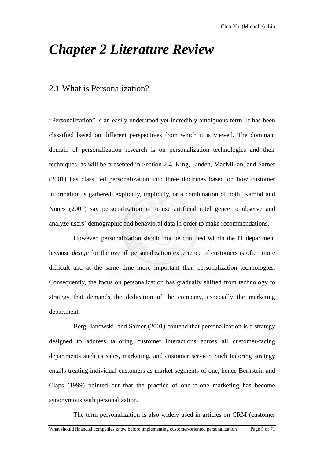# *Chapter 2 Literature Review*

## 2.1 What is Personalization?

"Personalization" is an easily understood yet incredibly ambiguous term. It has been classified based on different perspectives from which it is viewed. The dominant domain of personalization research is on personalization technologies and their techniques, as will be presented in Section 2.4. King, Linden, MacMillan, and Sarner (2001) has classified personalization into three doctrines based on how customer information is gathered: explicitly, implicitly, or a combination of both. Kambil and Nunes (2001) say personalization is to use artificial intelligence to observe and analyze users' demographic and behavioral data in order to make recommendations.

However, personalization should not be confined within the IT department because *design* for the overall personalization experience of customers is often more difficult and at the same time more important than personalization technologies. Consequently, the focus on personalization has gradually shifted from technology to strategy that demands the dedication of the company, especially the marketing department.

Berg, Janowski, and Sarner (2001) contend that personalization is a strategy designed to address tailoring customer interactions across all customer-facing departments such as sales, marketing, and customer service. Such tailoring strategy entails treating individual customers as market segments of one, hence Bernstein and Claps (1999) pointed out that the practice of one-to-one marketing has become synonymous with personalization.

The term personalization is also widely used in articles on CRM (customer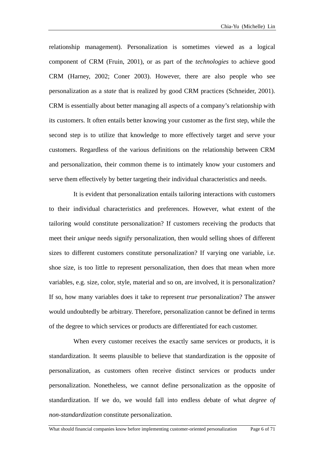relationship management). Personalization is sometimes viewed as a logical component of CRM (Fruin, 2001), or as part of the *technologies* to achieve good CRM (Harney, 2002; Coner 2003). However, there are also people who see personalization as a *state* that is realized by good CRM practices (Schneider, 2001). CRM is essentially about better managing all aspects of a company's relationship with its customers. It often entails better knowing your customer as the first step, while the second step is to utilize that knowledge to more effectively target and serve your customers. Regardless of the various definitions on the relationship between CRM and personalization, their common theme is to intimately know your customers and serve them effectively by better targeting their individual characteristics and needs.

It is evident that personalization entails tailoring interactions with customers to their individual characteristics and preferences. However, what extent of the tailoring would constitute personalization? If customers receiving the products that meet their *unique* needs signify personalization, then would selling shoes of different sizes to different customers constitute personalization? If varying one variable, i.e. shoe size, is too little to represent personalization, then does that mean when more variables, e.g. size, color, style, material and so on, are involved, it is personalization? If so, how many variables does it take to represent *true* personalization? The answer would undoubtedly be arbitrary. Therefore, personalization cannot be defined in terms of the degree to which services or products are differentiated for each customer.

When every customer receives the exactly same services or products, it is standardization. It seems plausible to believe that standardization is the opposite of personalization, as customers often receive distinct services or products under personalization. Nonetheless, we cannot define personalization as the opposite of standardization. If we do, we would fall into endless debate of what *degree of non-standardization* constitute personalization.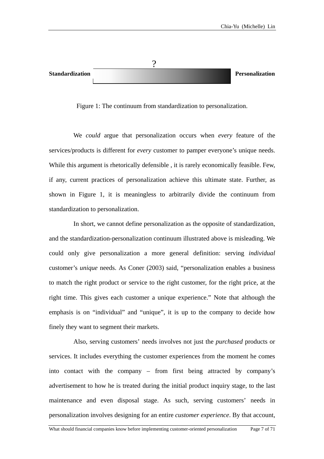| <b>Standardization</b> | Personalization |
|------------------------|-----------------|

Figure 1: The continuum from standardization to personalization.

We *could* argue that personalization occurs when *every* feature of the services/ products is different for *every* customer to pamper everyone's unique needs. While this argument is rhetorically defensible , it is rarely economically feasible. Few, if any, current practices of personalization achieve this ultimate state. Further, as shown in Figure 1, it is meaningless to arbitrarily divide the continuum from standardization to personalization.

In short, we cannot define personalization as the opposite of standardization, and the s tandardization-personalization continuum illustrated above is misleading. We could only give personalization a more general definition: serving *individual* customer's *unique* needs. As Coner (2003) said, "personalization enables a business to match the right product or service to the right customer, for the right price, at the right time. This gives each customer a unique experience." Note that although the emphasis is on "individual" and "unique", it is up to the company to decide how finely they want to segment their markets.

Also, serving customers' needs involves not just the *purchased* products or services. It includes everything the customer experiences from the moment he comes into contact with the company – from first being attracted by company's advertisement to how he is treated during the initial product inquiry stage, to the last maintenance and even disposal stage. As such, serving customers' needs in personalization involves designing for an entire *customer experience*. By that account,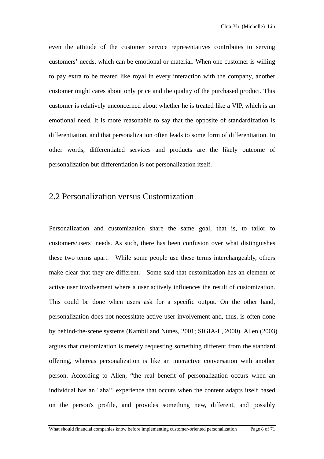even the attitude of the customer service representatives contributes to serving customers' needs, which can be emotional or material. When one customer is willing to pay extra to be treated like royal in every interaction with the company, another customer might cares about only price and the quality of the purchased product. This customer is relatively unconcerned about whether he is treated like a VIP, which is an emotional need. It is more reasonable to say that the opposite of standardization is differentiation, and that personalization often leads to some form of differentiation. In other words, differentiated services and products are the likely outcome of personalization but differentiation is not personalization itself.

## 2.2 Personalization versus Customization

Personalization and customization share the same goal, that is, to tailor to customers/users' needs. As such, there has been confusion over what distinguishes these two terms apart. While some people use these terms interchangeably, others make clear that they are different. Some said that customization has an element of active user involvement where a user actively influences the result of customization. This could be done when users ask for a specific output. On the other hand, personalization does not necessitate active user involvement and, thus, is often done by behind-the-scene systems (Kambil and Nunes, 2001; SIGIA-L, 2000). Allen (2003) argues that customization is merely requesting something different from the standard offering, whereas personalization is like an interactive conversation with another person. According to Allen, "the real benefit of personalization occurs when an individual has an "aha!" experience that occurs when the content adapts itself based on the person's profile, and provides something new, different, and possibly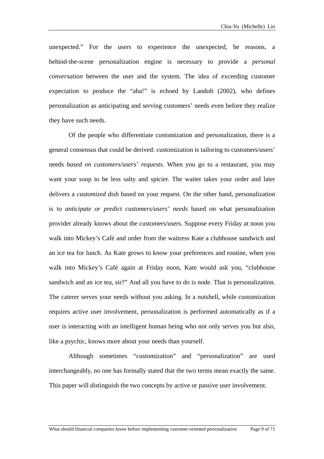unexpected." For the users to experience the unexpected, he reasons, a behind-the-scene personalization engine is necessary to provide a *personal conversation* between the user and the system. The idea of exceeding customer expectation to produce the "aha!" is echoed by Landolt (2002), who defines personalization as anticipating and serving customers' needs even before they realize they have such needs.

Of the people who differentiate customization and personalization, there is a general consensus that could be derived: customization is tailoring to customers/users' needs *based on customers/users' requests*. When you go to a restaurant, you may want your soup to be less salty and spicier. The waiter takes your order and later delivers a *customized* dish based on your request. On the other hand, personalization is to *anticipate or predict customers/users' needs* based on what personalization provider already knows about the customers/users. Suppose every Friday at noon you walk into Mickey's Café and order from the waitress Kate a clubhouse sandwich and an ice tea for lunch. As Kate grows to know your preferences and routine, when you walk into Mickey's Café again at Friday noon, Kate would ask you, "clubhouse sandwich and an ice tea, sir?" And all you have to do is node. That is personalization. The caterer serves your needs without you asking. In a nutshell, while customization requires active user involvement, personalization is performed automatically as if a user is interacting with an intelligent human being who not only serves you but also, like a psychic, knows more about your needs than yourself.

Although sometimes "customization" and "personalization" are used interch angeably, no one has formally stated that the two terms mean exactly the same. This paper will distinguish the two concepts by active or passive user involvement.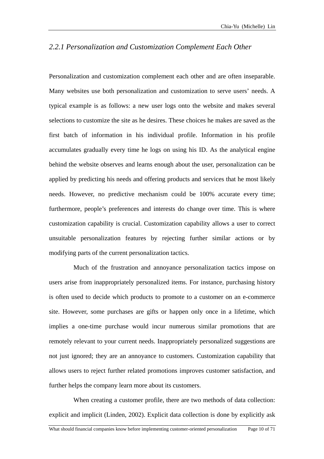### *2.2.1 Personalization and Customization Complement Each Other*

Personalization and customization complement each other and are often inseparable. Many websites use both personalization and customization to serve users' needs. A typical example is as follows: a new user logs onto the website and makes several selections to customize the site as he desires. These choices he makes are saved as the first batch of information in his individual profile. Information in his profile accumulates gradually every time he logs on using his ID. As the analytical engine behind the website observes and learns enough about the user, personalization can be applied by predicting his needs and offering products and services that he most likely needs. However, no predictive mechanism could be 100% accurate every time; furthermore, people's preferences and interests do change over time. This is where customization capability is crucial. Customization capability allows a user to correct unsuitable personalization features by rejecting further similar actions or by modifying parts of the current personalization tactics.

Much of the frustration and annoyance personalization tactics impose on users aris e from inappropriately personalized items. For instance, purchasing history is often used to decide which products to promote to a customer on an e-commerce site. However, some purchases are gifts or happen only once in a lifetime, which implies a one-time purchase would incur numerous similar promotions that are remotely relevant to your current needs. Inappropriately personalized suggestions are not just ignored; they are an annoyance to customers. Customization capability that allows users to reject further related promotions improves customer satisfaction, and further helps the company learn more about its customers.

When creating a customer profile, there are two methods of data collection: explicit a nd implicit (Linden, 2002). Explicit data collection is done by explicitly ask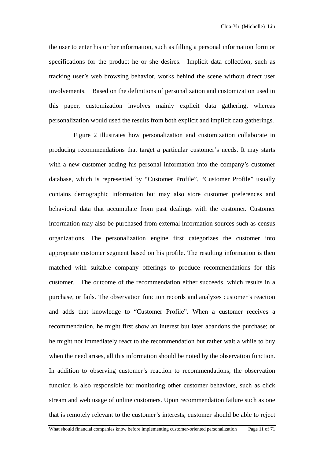the user to enter his or her information, such as filling a personal information form or specifications for the product he or she desires. Implicit data collection, such as tracking user's web browsing behavior, works behind the scene without direct user involvements. Based on the definitions of personalization and customization used in this paper, customization involves mainly explicit data gathering, whereas personalization would used the results from both explicit and implicit data gatherings.

Figure 2 illustrates how personalization and customization collaborate in producing recommendations that target a particular customer's needs. It may starts with a new customer adding his personal information into the company's customer database, which is represented by "Customer Profile". "Customer Profile" usually contains demographic information but may also store customer preferences and behavioral data that accumulate from past dealings with the customer. Customer information may also be purchased from external information sources such as census organizations. The personalization engine first categorizes the customer into appropriate customer segment based on his profile. The resulting information is then matched with suitable company offerings to produce recommendations for this customer. The outcome of the recommendation either succeeds, which results in a purchase, or fails. The observation function records and analyzes customer's reaction and adds that knowledge to "Customer Profile". When a customer receives a recommendation, he might first show an interest but later abandons the purchase; or he might not immediately react to the recommendation but rather wait a while to buy when the need arises, all this information should be noted by the observation function. In addition to observing customer's reaction to recommendations, the observation function is also responsible for monitoring other customer behaviors, such as click stream and web usage of online customers. Upon recommendation failure such as one that is remotely relevant to the customer's interests, customer should be able to reject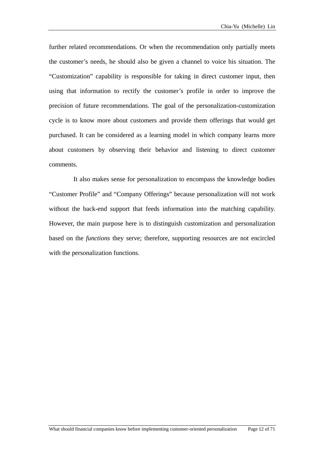further related recommendations. Or when the recommendation only partially meets the customer's needs, he should also be given a channel to voice his situation. The "Customization" capability is responsible for taking in direct customer input, then using that information to rectify the customer's profile in order to improve the precision of future recommendations. The goal of the personalization-customization cycle is to know more about customers and provide them offerings that would get purchased. It can be considered as a learning model in which company learns more about customers by observing their behavior and listening to direct customer comments.

It also makes sense for personalization to encompass the knowledge bodies "Customer Profile" and "Company Offerings" because personalization will not work without the back-end support that feeds information into the matching capability. However, the main purpose here is to distinguish customization and personalization based on the *functions* they serve; therefore, supporting resources are not encircled with the personalization functions.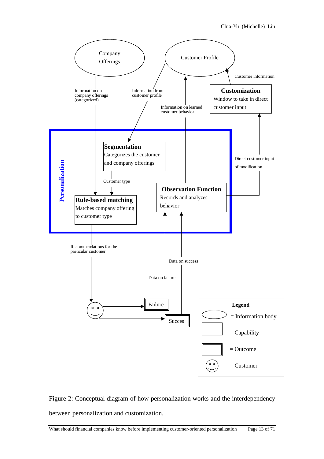

Figure 2: Conceptual diagram of how personalization works and the interdependency between personalization and customization.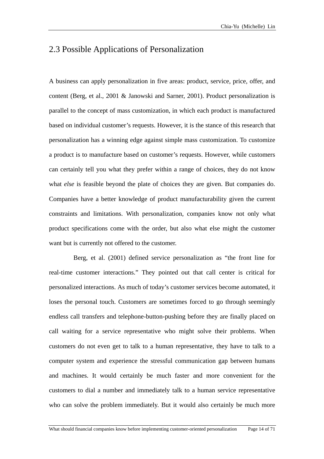## 2.3 Possible Applications of Personalization

A business can apply personalization in five areas: product, service, price, offer, and content (Berg, et al., 2001 & Janowski and Sarner, 2001). Product personalization is parallel to the concept of mass customization, in which each product is manufactured based on individual customer's requests. However, it is the stance of this research that personalization has a winning edge against simple mass customization. To customize a product is to manufacture based on customer's requests. However, while customers can certainly tell you what they prefer within a range of choices, they do not know what *else* is feasible beyond the plate of choices they are given. But companies do. Companies have a better knowledge of product manufacturability given the current constraints and limitations. With personalization, companies know not only what product specifications come with the order, but also what else might the customer want but is currently not offered to the customer.

Berg, et al. (2001) defined service personalization as "the front line for real-time customer interactions." They pointed out that call center is critical for personalized interactions. As much of today's customer services become automated, it loses the personal touch. Customers are sometimes forced to go through seemingly endless call transfers and telephone-button-pushing before they are finally placed on call waiting for a service representative who might solve their problems. When customers do not even get to talk to a human representative, they have to talk to a computer system and experience the stressful communication gap between humans and machines. It would certainly be much faster and more convenient for the customers to dial a number and immediately talk to a human service representative who can solve the problem immediately. But it would also certainly be much more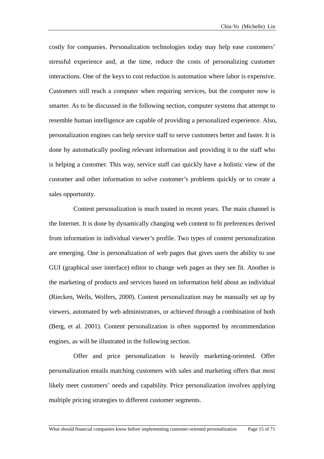costly for companies. Personalization technologies today may help ease customers' stressful experience and, at the time, reduce the costs of personalizing customer interactions. One of the keys to cost reduction is automation where labor is expensive. Customers still reach a computer when requiring services, but the computer now is smarter. As to be discussed in the following section, computer systems that attempt to resemble human intelligence are capable of providing a personalized experience. Also, personalization engines can help service staff to serve customers better and faster. It is done by automatically pooling relevant information and providing it to the staff who is helping a customer. This way, service staff can quickly have a holistic view of the customer and other information to solve customer's problems quickly or to create a sales opportunity.

Content personalization is much touted in recent years. The main channel is the Internet. It is done by dynamically changing web content to fit preferences derived from information in individual viewer's profile. Two types of content personalization are emerging. One is personalization of web pages that gives users the ability to use GUI (graphical user interface) editor to change web pages as they see fit. Another is the marketing of products and services based on information held about an individual (Riecken, Wells, Wolfers, 2000). Content personalization may be manually set up by viewers, automated by web administrators, or achieved through a combination of both (Berg, et al. 2001). Content personalization is often supported by recommendation engines, as will be illustrated in the following section.

Offer and price personalization is heavily marketing-oriented. Offer personalization entails matching customers with sales and marketing offers that most likely meet customers' needs and capability. Price personalization involves applying multiple pricing strategies to different customer segments.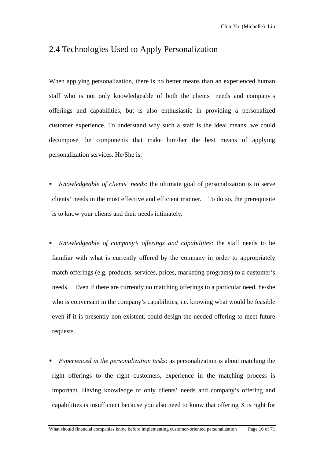## 2.4 Technologies Used to Apply Personalization

When applying personalization, there is no better means than an experienced human staff who is not only knowledgeable of both the clients' needs and company's offerings and capabilities, but is also enthusiastic in providing a personalized customer experience. To understand why such a staff is the ideal means, we could decompose the components that make him/her the best means of applying personalization services. He/She is:

- *Knowledgeable of clients' needs*: the ultimate goal of personalization is to serve clients' needs in the most effective and efficient manner. To do so, the prerequisite is to know your clients and their needs intimately.
- *Knowledgeable of company's offerings and capabilities*: the staff needs to be familiar with what is currently offered by the company in order to appropriately match offerings (e.g. products, services, prices, marketing programs) to a customer's needs. Even if there are currently no matching offerings to a particular need, he/she, who is conversant in the company's capabilities, i.e. knowing what would be feasible even if it is presently non-existent, could design the needed offering to meet future requests.
- *Experienced in the personalization tasks*: as personalization is about matching the right offerings to the right customers, experience in the matching process is important. Having knowledge of only clients' needs and company's offering and capabilities is insufficient because you also need to know that offering X is right for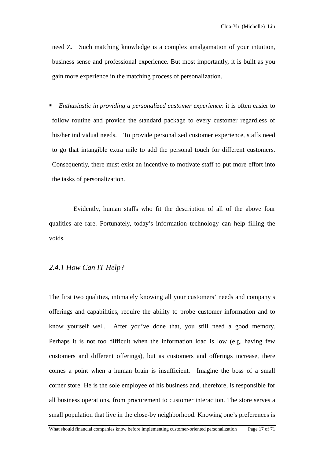need Z. Such matching knowledge is a complex amalgamation of your intuition, business sense and professional experience. But most importantly, it is built as you gain more experience in the matching process of personalization.

 *Enthusiastic in providing a personalized customer experience*: it is often easier to follow routine and provide the standard package to every customer regardless of his/her individual needs. To provide personalized customer experience, staffs need to go that intangible extra mile to add the personal touch for different customers. Consequently, there must exist an incentive to motivate staff to put more effort into the tasks of personalization.

Evidently, human staffs who fit the description of all of the above four qualities are rare. Fortunately, today's information technology can help filling the voids.

### *2.4.1 How Can IT Help?*

The first two qualities, intimately knowing all your customers' needs and company's offerings and capabilities, require the ability to probe customer information and to know yourself well. After you've done that, you still need a good memory. Perhaps it is not too difficult when the information load is low (e.g. having few customers and different offerings), but as customers and offerings increase, there comes a point when a human brain is insufficient. Imagine the boss of a small corner store. He is the sole employee of his business and, therefore, is responsible for all business operations, from procurement to customer interaction. The store serves a small population that live in the close-by neighborhood. Knowing one's preferences is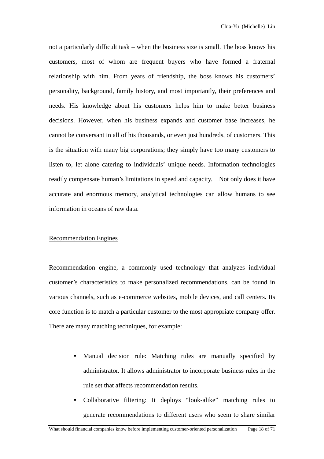not a particularly difficult task – when the business size is small. The boss knows his customers, most of whom are frequent buyers who have formed a fraternal relationship with him. From years of friendship, the boss knows his customers' personality, background, family history, and most importantly, their preferences and needs. His knowledge about his customers helps him to make better business decisions. However, when his business expands and customer base increases, he cannot be conversant in all of his thousands, or even just hundreds, of customers. This is the situation with many big corporations; they simply have too many customers to listen to, let alone catering to individuals' unique needs. Information technologies readily compensate human's limitations in speed and capacity. Not only does it have accurate and enormous memory, analytical technologies can allow humans to see information in oceans of raw data.

#### Recommendation Engines

Recommendation engine, a commonly used technology that analyzes individual customer's characteristics to make personalized recommendations, can be found in various channels, such as e-commerce websites, mobile devices, and call centers. Its core function is to match a particular customer to the most appropriate company offer. There are many matching techniques, for example:

- Manual decision rule: Matching rules are manually specified by administrator. It allows administrator to incorporate business rules in the rule set that affects recommendation results.
- Collaborative filtering: It deploys "look-alike" matching rules to generate recommendations to different users who seem to share similar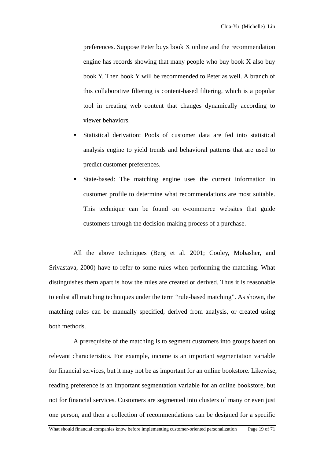preferences. Suppose Peter buys book X online and the recommendation engine has records showing that many people who buy book X also buy book Y. Then book Y will be recommended to Peter as well. A branch of this collaborative filtering is content-based filtering, which is a popular tool in creating web content that changes dynamically according to viewer behaviors.

- Statistical derivation: Pools of customer data are fed into statistical analysis engine to yield trends and behavioral patterns that are used to predict customer preferences.
- State-based: The matching engine uses the current information in customer profile to determine what recommendations are most suitable. This technique can be found on e-commerce websites that guide customers through the decision-making process of a purchase.

All the above techniques (Berg et al. 2001; Cooley, Mobasher, and Srivastava, 2000) have to refer to some rules when performing the matching. What distinguishes them apart is how the rules are created or derived. Thus it is reasonable to enlist all matching techniques under the term "rule-based matching". As shown, the matching rules can be manually specified, derived from analysis, or created using both methods.

A prerequisite of the matching is to segment customers into groups based on relevant characteristics. For example, income is an important segmentation variable for financial services, but it may not be as important for an online bookstore. Likewise, reading preference is an important segmentation variable for an online bookstore, but not for financial services. Customers are segmented into clusters of many or even just one person, and then a collection of recommendations can be designed for a specific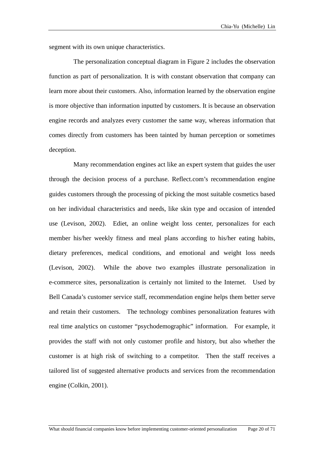segment with its own unique characteristics.

The personalization conceptual diagram in Figure 2 includes the observation function as part of personalization. It is with constant observation that company can learn more about their customers. Also, information learned by the observation engine is more objective than information inputted by customers. It is because an observation engine records and analyzes every customer the same way, whereas information that comes directly from customers has been tainted by human perception or sometimes deception.

Many recommendation engines act like an expert system that guides the user through the decision process of a purchase. Reflect.com's recommendation engine guides customers through the processing of picking the most suitable cosmetics based on her individual characteristics and needs, like skin type and occasion of intended use (Levison, 2002). Ediet, an online weight loss center, personalizes for each member his/her weekly fitness and meal plans according to his/her eating habits, dietary preferences, medical conditions, and emotional and weight loss needs (Levison, 2002). While the above two examples illustrate personalization in e-commerce sites, personalization is certainly not limited to the Internet. Used by Bell Canada's customer service staff, recommendation engine helps them better serve and retain their customers. The technology combines personalization features with real time analytics on customer "psychodemographic" information. For example, it provides the staff with not only customer profile and history, but also whether the customer is at high risk of switching to a competitor. Then the staff receives a tailored list of suggested alternative products and services from the recommendation engine (Colkin, 2001).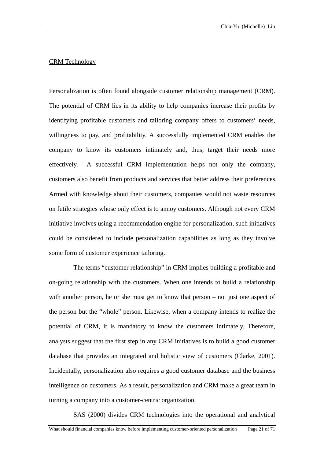### CRM Technology

Personalization is often found alongside customer relationship management (CRM). The potential of CRM lies in its ability to help companies increase their profits by identifying profitable customers and tailoring company offers to customers' needs, willingness to pay, and profitability. A successfully implemented CRM enables the company to know its customers intimately and, thus, target their needs more effectively. A successful CRM implementation helps not only the company, customers also benefit from products and services that better address their preferences. Armed with knowledge about their customers, companies would not waste resources on futile strategies whose only effect is to annoy customers. Although not every CRM initiative involves using a recommendation engine for personalization, such initiatives could be considered to include personalization capabilities as long as they involve some form of customer experience tailoring.

The terms "customer relationship" in CRM implies building a profitable and on-going relationship with the customers. When one intends to build a relationship with another person, he or she must get to know that person – not just one aspect of the person but the "whole" person. Likewise, when a company intends to realize the potential of CRM, it is mandatory to know the customers intimately. Therefore, analysts suggest that the first step in any CRM initiatives is to build a good customer database that provides an integrated and holistic view of customers (Clarke, 2001). Incidentally, personalization also requires a good customer database and the business intelligence on customers. As a result, personalization and CRM make a great team in turning a company into a customer-centric organization.

SAS (2000) divides CRM technologies into the operational and analytical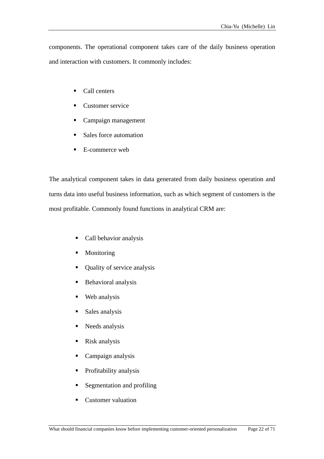components. The operational component takes care of the daily business operation and interaction with customers. It commonly includes:

- Call centers
- Customer service
- Campaign management
- Sales force automation
- E-commerce web

The analytical component takes in data generated from daily business operation and turns data into useful business information, such as which segment of customers is the most profitable. Commonly found functions in analytical CRM are:

- Call behavior analysis
- Monitoring
- Quality of service analysis
- **Behavioral analysis**
- **Web** analysis
- **Sales analysis**
- Needs analysis
- Risk analysis
- Campaign analysis
- **•** Profitability analysis
- Segmentation and profiling
- Customer valuation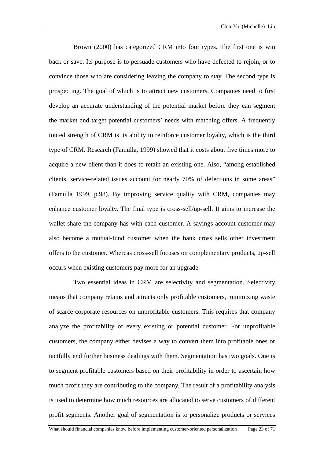Brown (2000) has categorized CRM into four types. The first one is win back or save. Its purpose is to persuade customers who have defected to rejoin, or to convince those who are considering leaving the company to stay. The second type is prospecting. The goal of which is to attract new customers. Companies need to first develop an accurate understanding of the potential market before they can segment the market and target potential customers' needs with matching offers. A frequently touted strength of CRM is its ability to reinforce customer loyalty, which is the third type of CRM. Research (Famulla, 1999) showed that it costs about five times more to acquire a new client than it does to retain an existing one. Also, "among established clients, service-related issues account for nearly 70% of defections in some areas" (Famulla 1999, p.98). By improving service quality with CRM, companies may enhance customer loyalty. The final type is cross-sell/up-sell. It aims to increase the wallet share the company has with each customer. A savings-account customer may also become a mutual-fund customer when the bank cross sells other investment offers to the customer. Whereas cross-sell focuses on complementary products, up-sell occurs when existing customers pay more for an upgrade.

Two essential ideas in CRM are selectivity and segmentation. Selectivity means that company retains and attracts only profitable customers, minimizing waste of scarce corporate resources on unprofitable customers. This requires that company analyze the profitability of every existing or potential customer. For unprofitable customers, the company either devises a way to convert them into profitable ones or tactfully end further business dealings with them. Segmentation has two goals. One is to segment profitable customers based on their profitability in order to ascertain how much profit they are contributing to the company. The result of a profitability analysis is used to determine how much resources are allocated to serve customers of different profit segments. Another goal of segmentation is to personalize products or services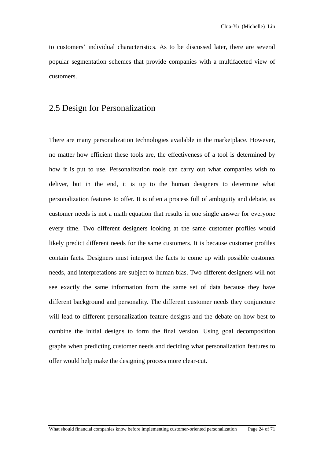to customers' individual characteristics. As to be discussed later, there are several popular segmentation schemes that provide companies with a multifaceted view of customers.

## 2.5 Design for Personalization

There are many personalization technologies available in the marketplace. However, no matter how efficient these tools are, the effectiveness of a tool is determined by how it is put to use. Personalization tools can carry out what companies wish to deliver, but in the end, it is up to the human designers to determine what personalization features to offer. It is often a process full of ambiguity and debate, as customer needs is not a math equation that results in one single answer for everyone every time. Two different designers looking at the same customer profiles would likely predict different needs for the same customers. It is because customer profiles contain facts. Designers must interpret the facts to come up with possible customer needs, and interpretations are subject to human bias. Two different designers will not see exactly the same information from the same set of data because they have different background and personality. The different customer needs they conjuncture will lead to different personalization feature designs and the debate on how best to combine the initial designs to form the final version. Using goal decomposition graphs when predicting customer needs and deciding what personalization features to offer would help make the designing process more clear-cut.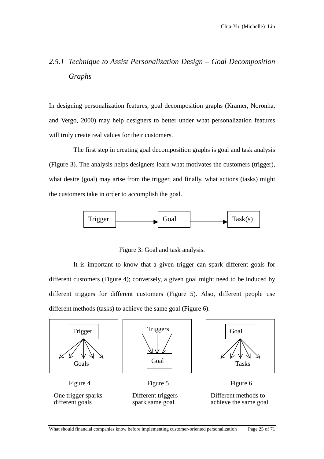## *2.5.1 Technique to Assist Personalization Design – Goal Decomposition Graphs*

In designing personalization features, goal decomposition graphs (Kramer, Noronha, and Vergo, 2000) may help designers to better under what personalization features will truly create real values for their customers.

The first step in creating goal decomposition graphs is goal and task analysis (Figure 3). The analysis helps designers learn what motivates the customers (trigger), what desire (goal) may arise from the trigger, and finally, what actions (tasks) might the customers take in order to accomplish the goal.



Figure 3: Goal and task analysis.

It is important to know that a given trigger can spark different goals for different customers (Figure 4); conversely, a given goal might need to be induced by different triggers for different customers (Figure 5). Also, different people use different methods (tasks) to achieve the same goal (Figure 6).

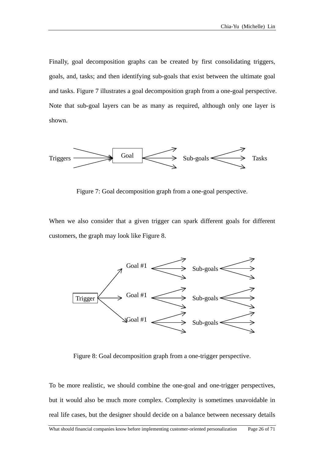Finally, goal decomposition graphs can be created by first consolidating triggers, goals, and, tasks; and then identifying sub-goals that exist between the ultimate goal and tasks. Figure 7 illustrates a goal decomposition graph from a one-goal perspective. Note that sub-goal layers can be as many as required, although only one layer is shown.



Figure 7: Goal decomposition graph from a one-goal perspective.

When we also consider that a given trigger can spark different goals for different customers, the graph may look like Figure 8.



Figure 8: Goal decomposition graph from a one-trigger perspective.

To be more realistic, we should combine the one-goal and one-trigger perspectives, but it would also be much more complex. Complexity is sometimes unavoidable in real life cases, but the designer should decide on a balance between necessary details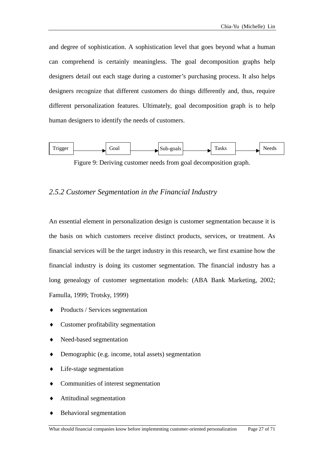and degree of sophistication. A sophistication level that goes beyond what a human can comprehend is certainly meaningless. The goal decomposition graphs help designers detail out each stage during a customer's purchasing process. It also helps designers recognize that different customers do things differently and, thus, require different personalization features. Ultimately, goal decomposition graph is to help human designers to identify the needs of customers.



Figure 9: Deriving customer needs from goal decomposition graph.

### *2.5.2 Cu stomer Segmentation in the Financial Industry*

An essential element in personalization design is customer segmentation because it is the basis on which customers receive distinct products, services, or treatment. As financial services will be the target industry in this research, we first examine how the financial industry is doing its customer segmentation. The financial industry has a long genealogy of customer segmentation models: (ABA Bank Marketing, 2002; Famulla, 1999; Trotsky, 1999)

- Products / Services segmentation
- Customer profitability segmentation
- ♦ Need-based segmentation
- ◆ Demographic (e.g. income, total assets) segmentation
- ♦ Life-stage segmentation
- ♦ Communities of interest segmentation
- ♦ Attitudinal segmentation
- ♦ Behavioral segmentation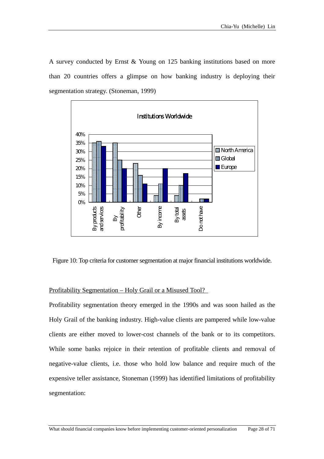A survey conducted by Ernst & Young on 125 banking institutions based on more than 20 countries offers a glimpse on how banking industry is deploying their segmentation strategy. (Stoneman, 1999)



Figure 10: Top criteria for customer segmentation at major financial institutions worldwide.

### Profitability Segmentation - Holy Grail or a Misused Tool?

P rofitability segmentation theory emerged in the 1990s and was soon hailed as the Holy Grail of the banking industry. High-value clients are pampered while low-value clients are either moved to lower-cost channels of the bank or to its competitors. While some banks rejoice in their retention of profitable clients and removal of negative-value clients, i.e. those who hold low balance and require much of the expensive teller assistance, Stoneman (1999) has identified limitations of profitability segmentation: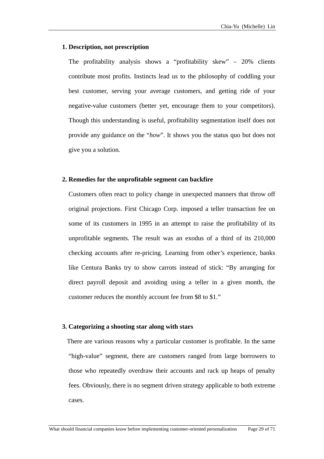### **1. Description, not prescription**

The profitability analysis shows a "profitability skew" – 20% clients contribute most profits. Instincts lead us to the philosophy of coddling your best customer, serving your average customers, and getting ride of your negative-value customers (better yet, encourage them to your competitors). Though this understanding is useful, profitability segmentation itself does not provide any guidance on the "*how*". It shows you the status quo but does not give you a solution.

### **2. Remedies for the unprofitable segment can backfire**

Customers often react to policy change in unexpected manners that throw off original projections. First Chicago Corp. imposed a teller transaction fee on some of its customers in 1995 in an attempt to raise the profitability of its unprofitable segments. The result was an exodus of a third of its 210,000 checking accounts after re-pricing. Learning from other's experience, banks like Centura Banks try to show carrots instead of stick: "By arranging for direct payroll deposit and avoiding using a teller in a given month, the customer reduces the monthly account fee from \$8 to \$1."

### **3. Categorizing a shooting star along with stars**

There are various reasons why a particular customer is profitable. In the same "high-value" segment, there are customers ranged from large borrowers to those who repeatedly overdraw their accounts and rack up heaps of penalty fees. Obviously, there is no segment driven strategy applicable to both extreme cases.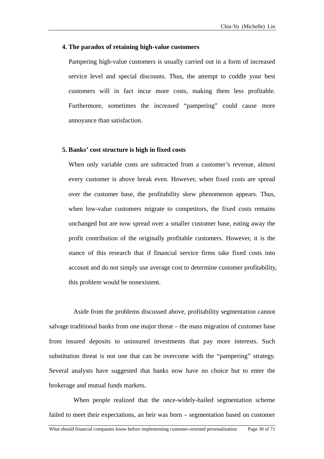### **4. The paradox of retaining high-value customers**

Pampering high-value customers is usually carried out in a form of increased service level and special discounts. Thus, the attempt to coddle your best customers will in fact incur more costs, making them less profitable. Furthermore, sometimes the increased "pampering" could cause more annoyance than satisfaction.

### **5. Banks' cost structure is high in fixed costs**

When only variable costs are subtracted from a customer's revenue, almost every customer is above break even. However, when fixed costs are spread over the customer base, the profitability skew phenomenon appears. Thus, when low-value customers migrate to competitors, the fixed costs remains unchanged but are now spread over a smaller customer base, eating away the profit contribution of the originally profitable customers. However, it is the stance of this research that if financial service firms take fixed costs into account and do not simply use average cost to determine customer profitability, this problem would be nonexistent.

salvage traditional banks from one major threat – the mass migration of customer base from insured deposits to uninsured investments that pay more interests. Such substituti on threat is not one that can be overcome with the "pampering" strategy. Aside from the problems discussed above, profitability segmentation cannot Several analysts have suggested that banks now have no choice but to enter the brokerage and mutual funds markets.

When people realized that the once-widely-hailed segmentation scheme failed to meet their expectations, an heir was born – segmentation based on customer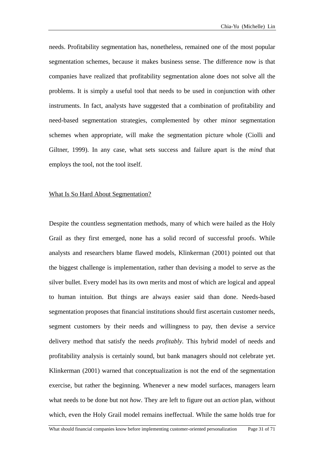needs. Profitability segmentation has, nonetheless, remained one of the most popular segmentation schemes, because it makes business sense. The difference now is that companies have realized that profitability segmentation alone does not solve all the problems. It is simply a useful tool that needs to be used in conjunction with other instruments. In fact, analysts have suggested that a combination of profitability and need-based segmentation strategies, complemented by other minor segmentation schemes when appropriate, will make the segmentation picture whole (Ciolli and Giltner, 1999). In any case, what sets success and failure apart is the *mind* that employs the tool, not the tool itself.

### What Is So Hard About Segmentation?

Despite the countless segmentation methods, many of which were hailed as the Holy Grail as they first emerged, none has a solid record of successful proofs. While nalysts and researchers blame flawed models, Klinkerman (2001) pointed out that a the biggest challenge is implementation, rather than devising a model to serve as the silver bullet. Every model has its own merits and most of which are logical and appeal to human intuition. But things are always easier said than done. Needs-based segmentation proposes that financial institutions should first ascertain customer needs, segment customers by their needs and willingness to pay, then devise a service delivery method that satisfy the needs *profitably*. This hybrid model of needs and profitability analysis is certainly sound, but bank managers should not celebrate yet. Klinkerman (2001) warned that conceptualization is not the end of the segmentation exercise, but rather the beginning. Whenever a new model surfaces, managers learn what needs to be done but not *how*. They are left to figure out an *action* plan, without which, even the Holy Grail model remains ineffectual. While the same holds true for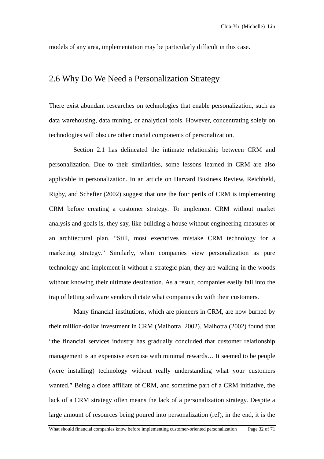models of any area, implementation may be particularly difficult in this case.

## 2.6 Why Do We Need a Personalization Strategy

There exist abundant researches on technologies that enable personalization, such as data warehousing, data mining, or analytical tools. However, concentrating solely on technologies will obscure other crucial components of personalization.

applicable in personalization. In an article on Harvard Business Review, Reichheld, Rigby, an d Schefter (2002) suggest that one the four perils of CRM is implementing Section 2.1 has delineated the intimate relationship between CRM and personalization. Due to their similarities, some lessons learned in CRM are also CRM before creating a customer strategy. To implement CRM without market analysis and goals is, they say, like building a house without engineering measures or an architectural plan. "Still, most executives mistake CRM technology for a marketing strategy." Similarly, when companies view personalization as pure technology and implement it without a strategic plan, they are walking in the woods without knowing their ultimate destination. As a result, companies easily fall into the trap of letting software vendors dictate what companies do with their customers.

"the financial services industry has gradually concluded that customer relationship managem ent is an expensive exercise with minimal rewards… It seemed to be people Many financial institutions, which are pioneers in CRM, are now burned by their million-dollar investment in CRM (Malhotra. 2002). Malhotra (2002) found that (were installing) technology without really understanding what your customers wanted." Being a close affiliate of CRM, and sometime part of a CRM initiative, the lack of a CRM strategy often means the lack of a personalization strategy. Despite a large amount of resources being poured into personalization (ref), in the end, it is the